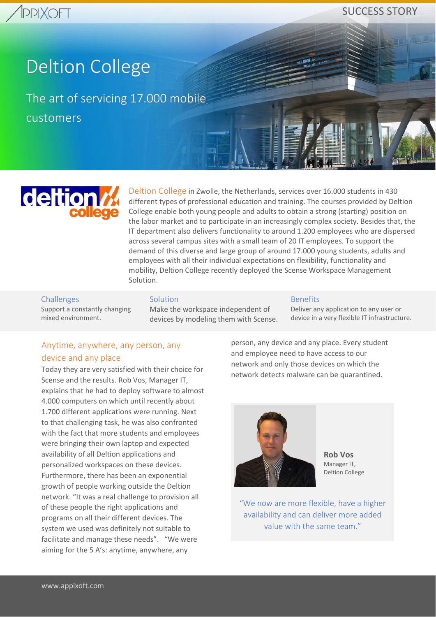SUCCESS STORY

# Deltion College

The art of servicing 17.000 mobile customers



Deltion College in Zwolle, the Netherlands, services over 16.000 students in 430 different types of professional education and training. The courses provided by Deltion College enable both young people and adults to obtain a strong (starting) position on the labor market and to participate in an increasingly complex society. Besides that, the IT department also delivers functionality to around 1.200 employees who are dispersed across several campus sites with a small team of 20 IT employees. To support the demand of this diverse and large group of around 17.000 young students, adults and employees with all their individual expectations on flexibility, functionality and mobility, Deltion College recently deployed the Scense Workspace Management Solution.

#### Challenges

Support a constantly changing mixed environment.

#### **Solution**

Make the workspace independent of devices by modeling them with Scense.

#### Benefits

Deliver any application to any user or device in a very flexible IT infrastructure.

## Anytime, anywhere, any person, any device and any place

Today they are very satisfied with their choice for Scense and the results. Rob Vos, Manager IT, explains that he had to deploy software to almost 4.000 computers on which until recently about 1.700 different applications were running. Next to that challenging task, he was also confronted with the fact that more students and employees were bringing their own laptop and expected availability of all Deltion applications and personalized workspaces on these devices. Furthermore, there has been an exponential growth of people working outside the Deltion network. "It was a real challenge to provision all of these people the right applications and programs on all their different devices. The system we used was definitely not suitable to facilitate and manage these needs". "We were aiming for the 5 A's: anytime, anywhere, any

person, any device and any place. Every student and employee need to have access to our network and only those devices on which the network detects malware can be quarantined.



**Rob Vos** Manager IT, Deltion College

"We now are more flexible, have a higher availability and can deliver more added value with the same team."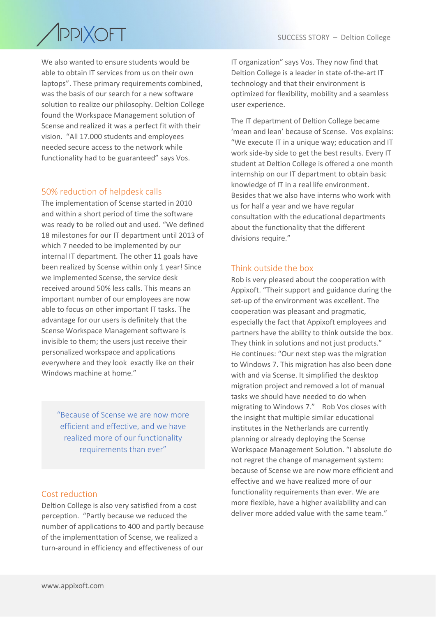# **PPIXOFT**  $\overline{\phantom{a}}$

We also wanted to ensure students would be able to obtain IT services from us on their own laptops". These primary requirements combined, was the basis of our search for a new software solution to realize our philosophy. Deltion College found the Workspace Management solution of Scense and realized it was a perfect fit with their vision. "All 17.000 students and employees needed secure access to the network while functionality had to be guaranteed" says Vos.

## 50% reduction of helpdesk calls

The implementation of Scense started in 2010 and within a short period of time the software was ready to be rolled out and used. "We defined 18 milestones for our IT department until 2013 of which 7 needed to be implemented by our internal IT department. The other 11 goals have been realized by Scense within only 1 year! Since we implemented Scense, the service desk received around 50% less calls. This means an important number of our employees are now able to focus on other important IT tasks. The advantage for our users is definitely that the Scense Workspace Management software is invisible to them; the users just receive their personalized workspace and applications everywhere and they look exactly like on their Windows machine at home."

"Because of Scense we are now more efficient and effective, and we have realized more of our functionality requirements than ever"

#### Cost reduction

Deltion College is also very satisfied from a cost perception. "Partly because we reduced the number of applications to 400 and partly because of the implementtation of Scense, we realized a turn‐around in efficiency and effectiveness of our

IT organization" says Vos. They now find that Deltion College is a leader in state of-the-art IT technology and that their environment is optimized for flexibility, mobility and a seamless user experience.

The IT department of Deltion College became 'mean and lean' because of Scense. Vos explains: "We execute IT in a unique way; education and IT work side‐by side to get the best results. Every IT student at Deltion College is offered a one month internship on our IT department to obtain basic knowledge of IT in a real life environment. Besides that we also have interns who work with us for half a year and we have regular consultation with the educational departments about the functionality that the different divisions require."

#### Think outside the box

Rob is very pleased about the cooperation with Appixoft. "Their support and guidance during the set-up of the environment was excellent. The cooperation was pleasant and pragmatic, especially the fact that Appixoft employees and partners have the ability to think outside the box. They think in solutions and not just products." He continues: "Our next step was the migration to Windows 7. This migration has also been done with and via Scense. It simplified the desktop migration project and removed a lot of manual tasks we should have needed to do when migrating to Windows 7." Rob Vos closes with the insight that multiple similar educational institutes in the Netherlands are currently planning or already deploying the Scense Workspace Management Solution. "I absolute do not regret the change of management system: because of Scense we are now more efficient and effective and we have realized more of our functionality requirements than ever. We are more flexible, have a higher availability and can deliver more added value with the same team."